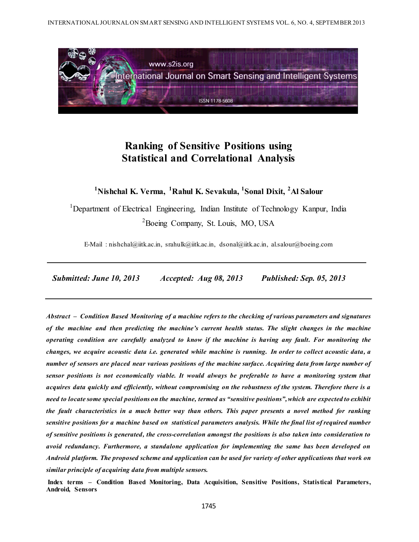

# **Ranking of Sensitive Positions using Statistical and Correlational Analysis**

**<sup>1</sup>Nishchal K. Verma, <sup>1</sup>Rahul K. Sevakula, <sup>1</sup> Sonal Dixit, <sup>2</sup>Al Salour**

<sup>1</sup>Department of Electrical Engineering, Indian Institute of Technology Kanpur, India <sup>2</sup>Boeing Company, St. Louis, MO, USA

E-Mail : nishchal@iitk.ac.in, srahulk@iitk.ac.in, dsonal@iitk.ac.in, al.salour@boeing.com

 *Submitted: June 10, 2013 Accepted: Aug 08, 2013 Published: Sep. 05, 2013*

*Abstract – Condition Based Monitoring of a machine refers to the checking of various parameters and signatures of the machine and then predicting the machine's current health status. The slight changes in the machine operating condition are carefully analyzed to know if the machine is having any fault. For monitoring the changes, we acquire acoustic data i.e. generated while machine is running. In order to collect acoustic data, a number of sensors are placed near various positions of the machine surface. Acquiring data from large number of sensor positions is not economically viable. It would always be preferable to have a monitoring system that acquires data quickly and efficiently, without compromising on the robustness of the system. Therefore there is a need to locate some special positions on the machine, termed as "sensitive positions", which are expected to exhibit the fault characteristics in a much better way than others. This paper presents a novel method for ranking sensitive positions for a machine based on statistical parameters analysis. While the final list of required number of sensitive positions is generated, the cross-correlation amongst the positions is also taken into consideration to avoid redundancy. Furthermore, a standalone application for implementing the same has been developed on Android platform. The proposed scheme and application can be used for variety of other applications that work on similar principle of acquiring data from multiple sensors.*

**Index terms – Condition Based Monitoring, Data Acquisition, Sensitive Positions, Statistical Parameters, Android, Sensors**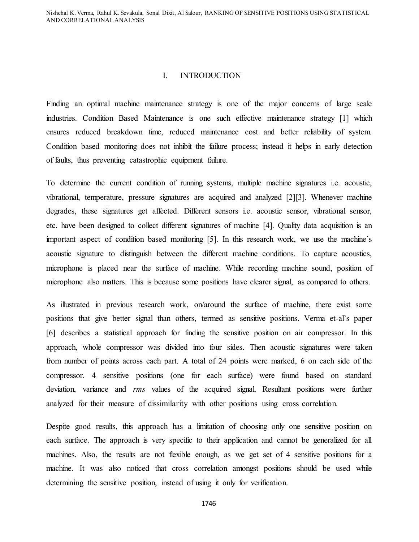Nishchal K. Verma, Rahul K. Sevakula, Sonal Dixit, Al Salour, RANKING OF SENSITIVE POSITIONS USING STATISTICAL AND CORRELATIONAL ANALYSIS

## I. INTRODUCTION

Finding an optimal machine maintenance strategy is one of the major concerns of large scale industries. Condition Based Maintenance is one such effective maintenance strategy [1] which ensures reduced breakdown time, reduced maintenance cost and better reliability of system. Condition based monitoring does not inhibit the failure process; instead it helps in early detection of faults, thus preventing catastrophic equipment failure.

To determine the current condition of running systems, multiple machine signatures i.e. acoustic, vibrational, temperature, pressure signatures are acquired and analyzed [2][3]. Whenever machine degrades, these signatures get affected. Different sensors i.e. acoustic sensor, vibrational sensor, etc. have been designed to collect different signatures of machine [4]. Quality data acquisition is an important aspect of condition based monitoring [5]. In this research work, we use the machine's acoustic signature to distinguish between the different machine conditions. To capture acoustics, microphone is placed near the surface of machine. While recording machine sound, position of microphone also matters. This is because some positions have clearer signal, as compared to others.

As illustrated in previous research work, on/around the surface of machine, there exist some positions that give better signal than others, termed as sensitive positions. Verma et-al's paper [6] describes a statistical approach for finding the sensitive position on air compressor. In this approach, whole compressor was divided into four sides. Then acoustic signatures were taken from number of points across each part. A total of 24 points were marked, 6 on each side of the compressor. 4 sensitive positions (one for each surface) were found based on standard deviation, variance and *rms* values of the acquired signal. Resultant positions were further analyzed for their measure of dissimilarity with other positions using cross correlation.

Despite good results, this approach has a limitation of choosing only one sensitive position on each surface. The approach is very specific to their application and cannot be generalized for all machines. Also, the results are not flexible enough, as we get set of 4 sensitive positions for a machine. It was also noticed that cross correlation amongst positions should be used while determining the sensitive position, instead of using it only for verification.

1746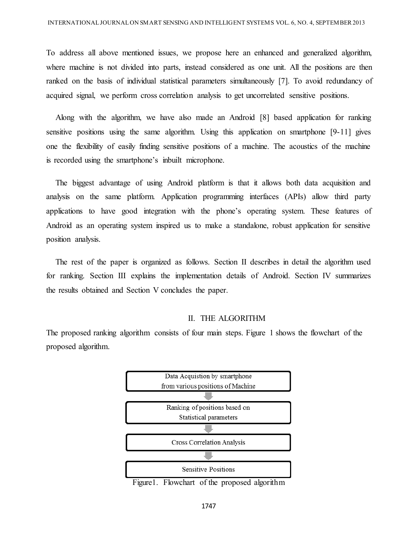To address all above mentioned issues, we propose here an enhanced and generalized algorithm, where machine is not divided into parts, instead considered as one unit. All the positions are then ranked on the basis of individual statistical parameters simultaneously [7]. To avoid redundancy of acquired signal, we perform cross correlation analysis to get uncorrelated sensitive positions.

Along with the algorithm, we have also made an Android [8] based application for ranking sensitive positions using the same algorithm. Using this application on smartphone [9-11] gives one the flexibility of easily finding sensitive positions of a machine. The acoustics of the machine is recorded using the smartphone's inbuilt microphone.

The biggest advantage of using Android platform is that it allows both data acquisition and analysis on the same platform. Application programming interfaces (APIs) allow third party applications to have good integration with the phone's operating system. These features of Android as an operating system inspired us to make a standalone, robust application for sensitive position analysis.

The rest of the paper is organized as follows. Section II describes in detail the algorithm used for ranking. Section III explains the implementation details of Android. Section IV summarizes the results obtained and Section V concludes the paper.

## II. THE ALGORITHM

The proposed ranking algorithm consists of four main steps. Figure 1 shows the flowchart of the proposed algorithm.



Figure1. Flowchart of the proposed algorithm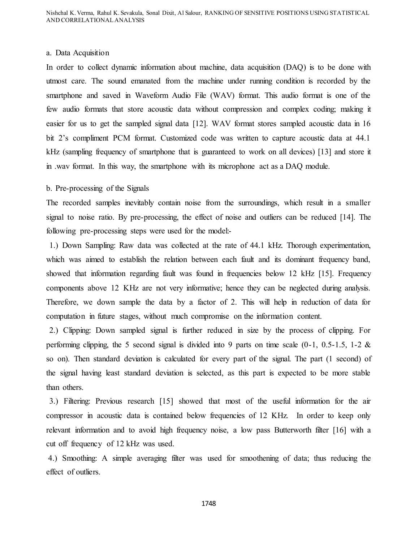#### a. Data Acquisition

In order to collect dynamic information about machine, data acquisition (DAQ) is to be done with utmost care. The sound emanated from the machine under running condition is recorded by the smartphone and saved in Waveform Audio File (WAV) format. This audio format is one of the few audio formats that store acoustic data without compression and complex coding; making it easier for us to get the sampled signal data [12]. WAV format stores sampled acoustic data in 16 bit 2's compliment PCM format. Customized code was written to capture acoustic data at 44.1 kHz (sampling frequency of smartphone that is guaranteed to work on all devices) [13] and store it in .wav format. In this way, the smartphone with its microphone act as a DAQ module.

#### b. Pre-processing of the Signals

The recorded samples inevitably contain noise from the surroundings, which result in a smaller signal to noise ratio. By pre-processing, the effect of noise and outliers can be reduced [14]. The following pre-processing steps were used for the model:-

1.) Down Sampling: Raw data was collected at the rate of 44.1 kHz. Thorough experimentation, which was aimed to establish the relation between each fault and its dominant frequency band, showed that information regarding fault was found in frequencies below 12 kHz [15]. Frequency components above 12 KHz are not very informative; hence they can be neglected during analysis. Therefore, we down sample the data by a factor of 2. This will help in reduction of data for computation in future stages, without much compromise on the information content.

2.) Clipping: Down sampled signal is further reduced in size by the process of clipping. For performing clipping, the 5 second signal is divided into 9 parts on time scale  $(0-1, 0.5-1.5, 1-2 \&$ so on). Then standard deviation is calculated for every part of the signal. The part (1 second) of the signal having least standard deviation is selected, as this part is expected to be more stable than others.

3.) Filtering: Previous research [15] showed that most of the useful information for the air compressor in acoustic data is contained below frequencies of 12 KHz. In order to keep only relevant information and to avoid high frequency noise, a low pass Butterworth filter [16] with a cut off frequency of 12 kHz was used.

4.) Smoothing: A simple averaging filter was used for smoothening of data; thus reducing the effect of outliers.

1748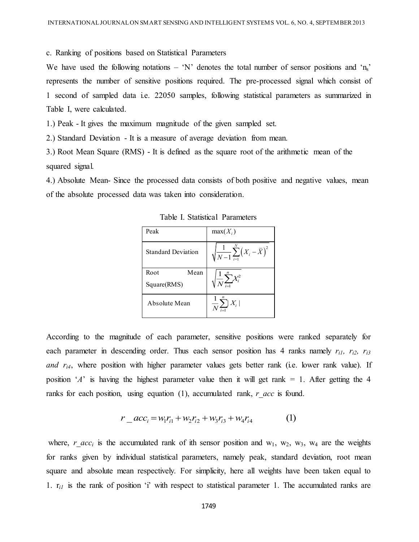c. Ranking of positions based on Statistical Parameters

We have used the following notations – 'N' denotes the total number of sensor positions and 'n<sub>s</sub>' represents the number of sensitive positions required. The pre-processed signal which consist of 1 second of sampled data i.e. 22050 samples, following statistical parameters as summarized in Table I, were calculated.

1.) Peak - It gives the maximum magnitude of the given sampled set.

2.) Standard Deviation - It is a measure of average deviation from mean.

3.) Root Mean Square (RMS) - It is defined as the square root of the arithmetic mean of the squared signal.

4.) Absolute Mean- Since the processed data consists of both positive and negative values, mean of the absolute processed data was taken into consideration.

|                                  | um magnitude of the given sampled set.                             |                                                                      |  |  |
|----------------------------------|--------------------------------------------------------------------|----------------------------------------------------------------------|--|--|
|                                  | a measure of average deviation from mean.                          |                                                                      |  |  |
|                                  | ) - It is defined as the square root of the arithmetic mean of the |                                                                      |  |  |
|                                  |                                                                    |                                                                      |  |  |
|                                  |                                                                    | e processed data consists of both positive and negative values, mean |  |  |
| ta was taken into consideration. |                                                                    |                                                                      |  |  |
|                                  | Table I. Statistical Parameters                                    |                                                                      |  |  |
| Peak                             | $max(X_i)$                                                         |                                                                      |  |  |
| <b>Standard Deviation</b>        | $\sum_{i=1}^{n} \left(X_i - \overline{X}\right)^2$                 |                                                                      |  |  |
| Root<br>Mean                     |                                                                    |                                                                      |  |  |
| Square(RMS)                      |                                                                    |                                                                      |  |  |
| Absolute Mean                    | $\frac{1}{N}\sum_{i=1}^{n}X_i$                                     |                                                                      |  |  |
|                                  |                                                                    |                                                                      |  |  |
|                                  |                                                                    | of each parameter, sensitive positions were ranked separately for    |  |  |

Table I. Statistical Parameters

According to the magnitude of each parameter, sensitive positions were ranked separately for each parameter in descending order. Thus each sensor position has 4 ranks namely *ri1, ri2, ri3 and r<sub>i4</sub>*, where position with higher parameter values gets better rank (i.e. lower rank value). If position '*A*' is having the highest parameter value then it will get rank  $= 1$ . After getting the 4 ranks for each position, using equation (1), accumulated rank, *r acc* is found.

$$
r_{\perp}acc_i = w_1r_{i1} + w_2r_{i2} + w_3r_{i3} + w_4r_{i4}
$$
 (1)

where, *r*  $acc_i$  is the accumulated rank of ith sensor position and w<sub>1</sub>, w<sub>2</sub>, w<sub>3</sub>, w<sub>4</sub> are the weights for ranks given by individual statistical parameters, namely peak, standard deviation, root mean square and absolute mean respectively. For simplicity, here all weights have been taken equal to 1.  $r_{i1}$  is the rank of position 'i' with respect to statistical parameter 1. The accumulated ranks are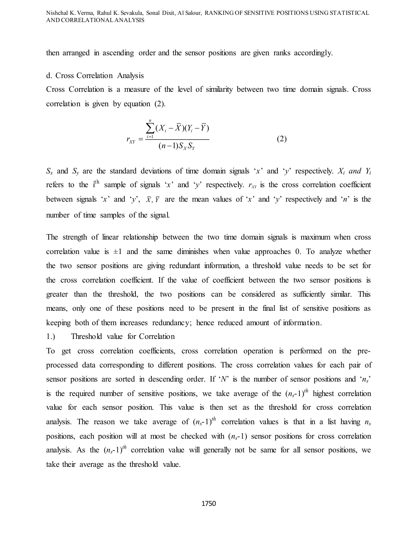then arranged in ascending order and the sensor positions are given ranks accordingly.

#### d. Cross Correlation Analysis

Cross Correlation is a measure of the level of similarity between two time domain signals. Cross correlation is given by equation (2).

$$
r_{XY} = \frac{\sum_{i=1}^{n} (X_i - \bar{X})(Y_i - \bar{Y})}{(n-1)S_X S_Y}
$$
 (2)

 $S_x$  and  $S_y$  are the standard deviations of time domain signals '*x*' and '*y*' respectively. *X<sub>i</sub>* and Y<sub>i</sub> refers to the i<sup>th</sup> sample of signals '*x*' and '*y*' respectively.  $r_{XY}$  is the cross correlation coefficient between signals '*x*' and '*y*',  $\bar{X}$ ,  $\bar{Y}$  are the mean values of '*x*' and '*y*' respectively and '*n*' is the number of time samples of the signal.

The strength of linear relationship between the two time domain signals is maximum when cross correlation value is  $\pm 1$  and the same diminishes when value approaches 0. To analyze whether the two sensor positions are giving redundant information, a threshold value needs to be set for the cross correlation coefficient. If the value of coefficient between the two sensor positions is greater than the threshold, the two positions can be considered as sufficiently similar. This means, only one of these positions need to be present in the final list of sensitive positions as keeping both of them increases redundancy; hence reduced amount of information.

# 1.) Threshold value for Correlation

To get cross correlation coefficients, cross correlation operation is performed on the preprocessed data corresponding to different positions. The cross correlation values for each pair of sensor positions are sorted in descending order. If '*N*' is the number of sensor positions and '*ns*' is the required number of sensitive positions, we take average of the  $(n_s-1)^{th}$  highest correlation value for each sensor position. This value is then set as the threshold for cross correlation analysis. The reason we take average of  $(n_s-1)^{th}$  correlation values is that in a list having  $n_s$ positions, each position will at most be checked with  $(n<sub>s</sub>-1)$  sensor positions for cross correlation analysis. As the  $(n_s-1)^{th}$  correlation value will generally not be same for all sensor positions, we take their average as the threshold value.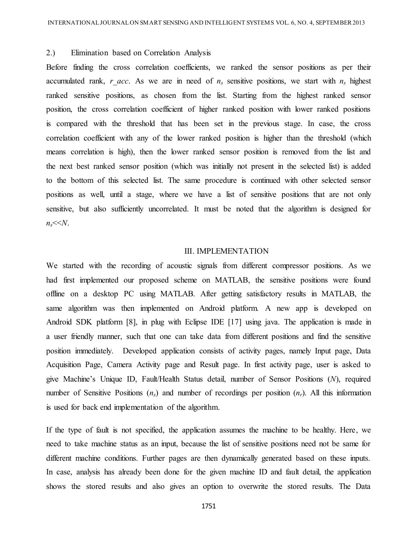#### 2.) Elimination based on Correlation Analysis

Before finding the cross correlation coefficients, we ranked the sensor positions as per their accumulated rank, *r* acc. As we are in need of  $n<sub>s</sub>$  sensitive positions, we start with  $n<sub>s</sub>$  highest ranked sensitive positions, as chosen from the list. Starting from the highest ranked sensor position, the cross correlation coefficient of higher ranked position with lower ranked positions is compared with the threshold that has been set in the previous stage. In case, the cross correlation coefficient with any of the lower ranked position is higher than the threshold (which means correlation is high), then the lower ranked sensor position is removed from the list and the next best ranked sensor position (which was initially not present in the selected list) is added to the bottom of this selected list. The same procedure is continued with other selected sensor positions as well, until a stage, where we have a list of sensitive positions that are not only sensitive, but also sufficiently uncorrelated. It must be noted that the algorithm is designed for  $n_s$ <sup> $<<$ </sup> $N$ .

#### III. IMPLEMENTATION

We started with the recording of acoustic signals from different compressor positions. As we had first implemented our proposed scheme on MATLAB, the sensitive positions were found offline on a desktop PC using MATLAB. After getting satisfactory results in MATLAB, the same algorithm was then implemented on Android platform. A new app is developed on Android SDK platform [8], in plug with Eclipse IDE [17] using java. The application is made in a user friendly manner, such that one can take data from different positions and find the sensitive position immediately. Developed application consists of activity pages, namely Input page, Data Acquisition Page, Camera Activity page and Result page. In first activity page, user is asked to give Machine's Unique ID, Fault/Health Status detail, number of Sensor Positions (*N*), required number of Sensitive Positions  $(n_s)$  and number of recordings per position  $(n_r)$ . All this information is used for back end implementation of the algorithm.

If the type of fault is not specified, the application assumes the machine to be healthy. Here, we need to take machine status as an input, because the list of sensitive positions need not be same for different machine conditions. Further pages are then dynamically generated based on these inputs. In case, analysis has already been done for the given machine ID and fault detail, the application shows the stored results and also gives an option to overwrite the stored results. The Data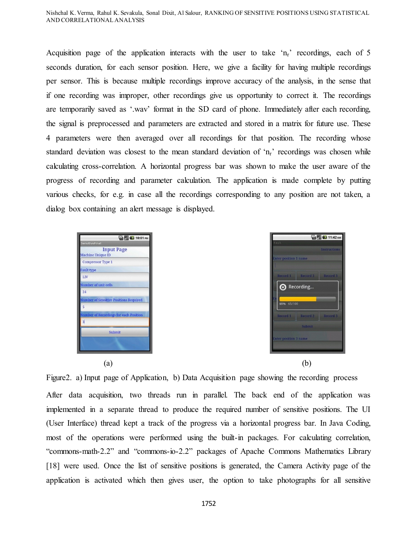Acquisition page of the application interacts with the user to take ' $n_r$ ' recordings, each of 5 seconds duration, for each sensor position. Here, we give a facility for having multiple recordings per sensor. This is because multiple recordings improve accuracy of the analysis, in the sense that if one recording was improper, other recordings give us opportunity to correct it. The recordings are temporarily saved as '.wav' format in the SD card of phone. Immediately after each recording, the signal is preprocessed and parameters are extracted and stored in a matrix for future use. These 4 parameters were then averaged over all recordings for that position. The recording whose standard deviation was closest to the mean standard deviation of 'nr' recordings was chosen while calculating cross-correlation. A horizontal progress bar was shown to make the user aware of the progress of recording and parameter calculation. The application is made complete by putting various checks, for e.g. in case all the recordings corresponding to any position are not taken, a dialog box containing an alert message is displayed.





**B**<sub>al</sub> **G** 11:42 Recording..

Figure2. a) Input page of Application, b) Data Acquisition page showing the recording process

After data acquisition, two threads run in parallel. The back end of the application was implemented in a separate thread to produce the required number of sensitive positions. The UI (User Interface) thread kept a track of the progress via a horizontal progress bar. In Java Coding, most of the operations were performed using the built-in packages. For calculating correlation, "commons-math-2.2" and "commons-io-2.2" packages of Apache Commons Mathematics Library [18] were used. Once the list of sensitive positions is generated, the Camera Activity page of the application is activated which then gives user, the option to take photographs for all sensitive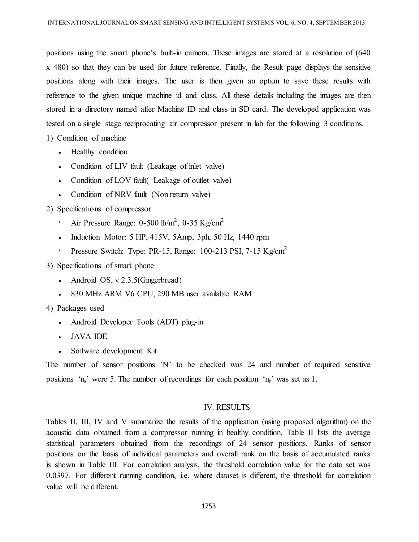positions using the smart phone's built-in camera. These images are stored at a resolution of (640 x 480) so that they can be used for future reference. Finally, the Result page displays the sensitive positions along with their images. The user is then given an option to save these results with reference to the given unique machine id and class. All these details including the images are then stored in a directory named after Machine ID and class in SD card. The developed application was tested on a single stage reciprocating air compressor present in lab for the following 3 conditions.

1) Condition of machine

- Healthy condition
- Condition of LIV fault (Leakage of inlet valve)
- Condition of LOV fault (Leakage of outlet valve)
- Condition of NRV fault (Non return valve)

2) Specifications of compressor

- $\cdot$  Air Pressure Range: 0-500 lb/m<sup>2</sup>, 0-35 Kg/cm<sup>2</sup>
- $\bullet$  Induction Motor: 5 HP, 415V, 5Amp, 3ph, 50 Hz, 1440 rpm
- Pressure Switch: Type: PR-15, Range: 100-213 PSI, 7-15 Kg/cm<sup>2</sup>

3) Specifications of smart phone

- Android OS, v 2.3.5(Gingerbread)
- 830 MHz ARM V6 CPU, 290 MB user available RAM

4) Packages used

- Android Developer Tools (ADT) plug-in
- JAVA IDE
- Software development Kit

The number of sensor positions 'N' to be checked was 24 and number of required sensitive positions 'n<sub>s</sub>' were 5. The number of recordings for each position 'n<sub>r</sub>' was set as 1.

## IV. RESULTS

Tables II, III, IV and V summarize the results of the application (using proposed algorithm) on the acoustic data obtained from a compressor running in healthy condition. Table II lists the average statistical parameters obtained from the recordings of 24 sensor positions. Ranks of sensor positions on the basis of individual parameters and overall rank on the basis of accumulated ranks is shown in Table III. For correlation analysis, the threshold correlation value for the data set was 0.0397. For different running condition, i.e. where dataset is different, the threshold for correlation value will be different.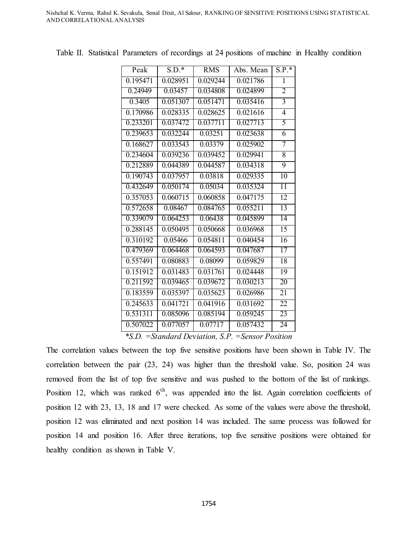| $S.D.*$  | <b>RMS</b>           | Abs. Mean | $S.P.*$         |
|----------|----------------------|-----------|-----------------|
| 0.028951 | 0.029244             | 0.021786  | 1               |
| 0.03457  | 0.034808             | 0.024899  | 2               |
| 0.051307 | 0.051471             | 0.035416  | $\overline{3}$  |
| 0.028335 | 0.028625             | 0.021616  | $\overline{4}$  |
| 0.037472 | 0.037711             | 0.027713  | 5               |
| 0.032244 | 0.03251              | 0.023638  | 6               |
| 0.033543 | 0.03379              | 0.025902  | 7               |
| 0.039236 | 0.039452             | 0.029941  | 8               |
| 0.044389 | 0.044587             | 0.034318  | $\overline{9}$  |
| 0.037957 | 0.03818              | 0.029335  | $\overline{10}$ |
| 0.050174 | 0.05034              | 0.035324  | 11              |
| 0.060715 | 0.060858             | 0.047175  | 12              |
| 0.08467  | 0.084765             | 0.055211  | $\overline{13}$ |
| 0.064253 | 0.06438              | 0.045899  | 14              |
| 0.050495 | 0.050668             | 0.036968  | $\overline{15}$ |
| 0.05466  | 0.054811             | 0.040454  | $\overline{16}$ |
| 0.064468 | 0.064593             | 0.047687  | 17              |
| 0.080883 | 0.08099              | 0.059829  | 18              |
| 0.031483 | 0.031761             | 0.024448  | $\overline{19}$ |
| 0.039465 | 0.039672             | 0.030213  | 20              |
| 0.035397 | 0.035623             | 0.026986  | 21              |
| 0.041721 | 0.041916             | 0.031692  | 22              |
| 0.085096 | 0.085194             | 0.059245  | 23              |
| 0.077057 | $0.\overline{07717}$ | 0.057432  | 24              |
|          |                      |           |                 |

Table II. Statistical Parameters of recordings at 24 positions of machine in Healthy condition

*\*S.D. =Standard Deviation, S.P. =Sensor Position*

The correlation values between the top five sensitive positions have been shown in Table IV. The correlation between the pair (23, 24) was higher than the threshold value. So, position 24 was removed from the list of top five sensitive and was pushed to the bottom of the list of rankings. Position 12, which was ranked  $6<sup>th</sup>$ , was appended into the list. Again correlation coefficients of position 12 with 23, 13, 18 and 17 were checked. As some of the values were above the threshold, position 12 was eliminated and next position 14 was included. The same process was followed for position 14 and position 16. After three iterations, top five sensitive positions were obtained for healthy condition as shown in Table V.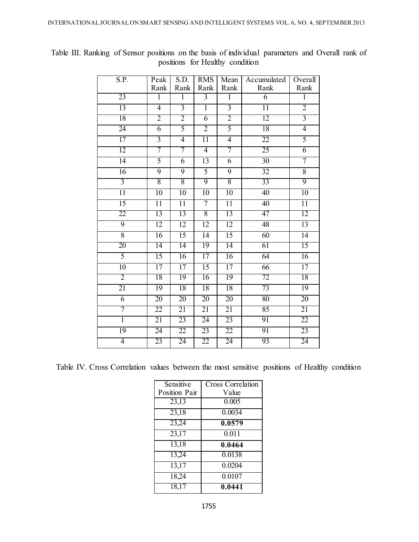| S.P.            | Peak            | S.D.            | <b>RMS</b>      | Mean            | Accumulated     | Overall         |
|-----------------|-----------------|-----------------|-----------------|-----------------|-----------------|-----------------|
|                 | Rank            | Rank            | Rank            | Rank            | Rank            | Rank            |
| 23              | $\overline{1}$  | $\overline{1}$  | $\overline{3}$  | $\overline{1}$  | $\overline{6}$  | $\overline{1}$  |
| 13              | $\overline{4}$  | $\overline{3}$  | $\overline{1}$  | $\overline{3}$  | $\overline{11}$ | $\overline{2}$  |
| 18              | $\overline{2}$  | $\overline{2}$  | 6               | $\overline{2}$  | 12              | $\overline{3}$  |
| 24              | $\overline{6}$  | 5               | $\overline{2}$  | 5               | 18              | $\overline{4}$  |
| $\overline{17}$ | $\overline{3}$  | $\overline{4}$  | $\overline{11}$ | $\overline{4}$  | $\overline{22}$ | $\overline{5}$  |
| 12              | 7               | 7               | 4               | 7               | 25              | $\overline{6}$  |
| 14              | 5               | 6               | $\overline{13}$ | 6               | 30              | 7               |
| 16              | $\overline{9}$  | 9               | 5               | $\overline{9}$  | 32              | 8               |
| $\overline{3}$  | 8               | 8               | 9               | $\overline{8}$  | 33              | $\overline{9}$  |
| $\overline{11}$ | 10              | 10              | $\overline{10}$ | $\overline{10}$ | 40              | 10              |
| 15              | $\overline{11}$ | $\overline{11}$ | 7               | $\overline{11}$ | 40              | $\overline{11}$ |
| 22              | 13              | 13              | 8               | 13              | 47              | 12              |
| $\overline{9}$  | $\overline{12}$ | 12              | 12              | $\overline{12}$ | 48              | 13              |
| $\overline{8}$  | 16              | $\overline{15}$ | 14              | 15              | 60              | 14              |
| 20              | 14              | 14              | 19              | 14              | 61              | 15              |
| $\overline{5}$  | $\overline{15}$ | $\overline{16}$ | 17              | $\overline{16}$ | 64              | 16              |
| 10              | $\overline{17}$ | 17              | $\overline{15}$ | $\overline{17}$ | 66              | 17              |
| $\overline{2}$  | 18              | 19              | 16              | 19              | 72              | 18              |
| 21              | $\overline{19}$ | $\overline{18}$ | 18              | 18              | 73              | 19              |
| $\overline{6}$  | 20              | 20              | 20              | 20              | 80              | 20              |
| 7               | 22              | 21              | 21              | 21              | 85              | 21              |
| ī               | 21              | 23              | 24              | 23              | 91              | 22              |
| 19              | 24              | $\overline{22}$ | 23              | 22              | 91              | 23              |
| 4               | 23              | 24              | 22              | 24              | 93              | 24              |

Table III. Ranking of Sensor positions on the basis of individual parameters and Overall rank of positions for Healthy condition

Table IV. Cross Correlation values between the most sensitive positions of Healthy condition

| Sensitive     | <b>Cross Correlation</b> |
|---------------|--------------------------|
| Position Pair | Value                    |
| 23,13         | 0.005                    |
| 23,18         | 0.0034                   |
| 23,24         | 0.0579                   |
| 23,17         | 0.011                    |
| 13,18         | 0.0464                   |
| 13,24         | 0.0138                   |
| 13,17         | 0.0204                   |
| 18,24         | 0.0107                   |
| 18,17         | 0.0441                   |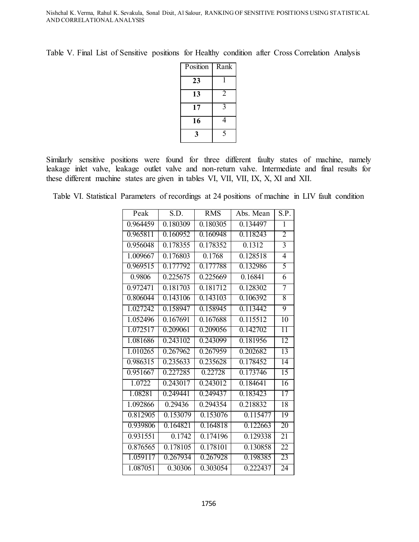Table V. Final List of Sensitive positions for Healthy condition after Cross Correlation Analysis

| Position | Rank           |
|----------|----------------|
| 23       |                |
| 13       | $\overline{2}$ |
| 17       | 3              |
| 16       | 4              |
| 3        | 5              |

Similarly sensitive positions were found for three different faulty states of machine, namely leakage inlet valve, leakage outlet valve and non-return valve. Intermediate and final results for these different machine states are given in tables VI, VII, VII, IX, X, XI and XII.

Table VI. Statistical Parameters of recordings at 24 positions of machine in LIV fault condition

| Peak     | S.D.                  | <b>RMS</b> | Abs. Mean | S.P.            |
|----------|-----------------------|------------|-----------|-----------------|
| 0.964459 | 0.180309              | 0.180305   | 0.134497  | $\overline{1}$  |
| 0.965811 | 0.160952              | 0.160948   | 0.118243  | 2               |
| 0.956048 | 0.178355              | 0.178352   | 0.1312    | $\overline{3}$  |
| 1.009667 | 0.176803              | 0.1768     | 0.128518  | $\overline{4}$  |
| 0.969515 | 0.177792              | 0.177788   | 0.132986  | 5               |
| 0.9806   | $0.22\overline{5675}$ | 0.225669   | 0.16841   | $\overline{6}$  |
| 0.972471 | 0.181703              | 0.181712   | 0.128302  | 7               |
| 0.806044 | 0.143106              | 0.143103   | 0.106392  | 8               |
| 1.027242 | 0.158947              | 0.158945   | 0.113442  | 9               |
| 1.052496 | 0.167691              | 0.167688   | 0.115512  | 10              |
| 1.072517 | 0.209061              | 0.209056   | 0.142702  | 11              |
| 1.081686 | 0.243102              | 0.243099   | 0.181956  | $\overline{12}$ |
| 1.010265 | 0.267962              | 0.267959   | 0.202682  | 13              |
| 0.986315 | 0.235633              | 0.235628   | 0.178452  | 14              |
| 0.951667 | 0.227285              | 0.22728    | 0.173746  | $\overline{15}$ |
| 1.0722   | 0.243017              | 0.243012   | 0.184641  | $\overline{16}$ |
| 1.08281  | 0.249441              | 0.249437   | 0.183423  | 17              |
| 1.092866 | 0.29436               | 0.294354   | 0.218832  | 18              |
| 0.812905 | 0.153079              | 0.153076   | 0.115477  | 19              |
| 0.939806 | 0.164821              | 0.164818   | 0.122663  | 20              |
| 0.931551 | 0.1742                | 0.174196   | 0.129338  | 21              |
| 0.876565 | 0.178105              | 0.178101   | 0.130858  | $\overline{22}$ |
| 1.059117 | 0.267934              | 0.267928   | 0.198385  | 23              |
| 1.087051 | 0.30306               | 0.303054   | 0.222437  | 24              |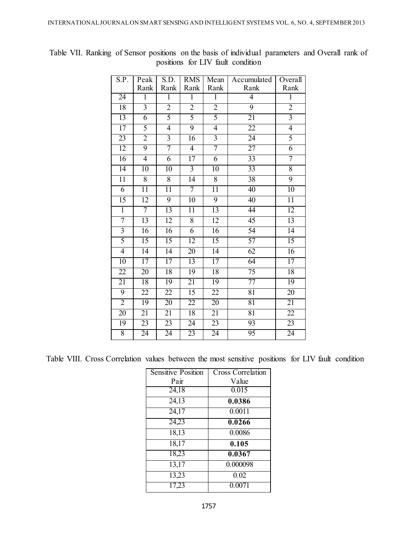| S.P.            | Peak            | S.D.                    | <b>RMS</b>      | Mean            | Accumulated     | Overall         |
|-----------------|-----------------|-------------------------|-----------------|-----------------|-----------------|-----------------|
|                 | Rank            | Rank                    | Rank            | Rank            | Rank            | Rank            |
| 24              | $\overline{1}$  | $\overline{1}$          | $\overline{1}$  | $\overline{1}$  | $\overline{4}$  | $\overline{1}$  |
| 18              | $\overline{3}$  | $\overline{2}$          | $\overline{2}$  | $\overline{2}$  | 9               | $\overline{2}$  |
| 13              | 6               | $\overline{5}$          | 5               | $\overline{5}$  | 21              | $\overline{3}$  |
| $\overline{17}$ | 5               | $\overline{4}$          | $\overline{9}$  | $\overline{4}$  | $\overline{22}$ | $\overline{4}$  |
| $\overline{23}$ | $\overline{2}$  | $\overline{\mathbf{3}}$ | $\overline{16}$ | $\overline{3}$  | 24              | 5               |
| 12              | 9               | $\overline{7}$          | $\overline{4}$  | $\overline{7}$  | $\overline{27}$ | $\overline{6}$  |
| 16              | $\overline{4}$  | $\overline{6}$          | $\overline{17}$ | $\overline{6}$  | 33              | 7               |
| $\overline{14}$ | $\overline{10}$ | $\overline{10}$         | $\overline{3}$  | $\overline{10}$ | 33              | 8               |
| $\overline{11}$ | $\overline{8}$  | 8                       | $\overline{14}$ | $\overline{8}$  | 38              | 9               |
| $\overline{6}$  | $\overline{11}$ | $\overline{11}$         | 7               | $\overline{11}$ | $\overline{40}$ | 10              |
| 15              | $\overline{12}$ | $\overline{9}$          | 10              | 9               | 40              | $\overline{11}$ |
| $\overline{1}$  | $\overline{7}$  | $\overline{13}$         | $\overline{11}$ | $\overline{13}$ | 44              | $\overline{12}$ |
| 7               | 13              | 12                      | 8               | 12              | 45              | 13              |
| $\overline{3}$  | 16              | 16                      | $\overline{6}$  | 16              | 54              | 14              |
| $\overline{5}$  | $\overline{15}$ | 15                      | 12              | 15              | 57              | 15              |
| $\overline{4}$  | $\overline{14}$ | $\overline{14}$         | $\overline{20}$ | 14              | 62              | $\overline{16}$ |
| $\overline{10}$ | $\overline{17}$ | $\overline{17}$         | $\overline{13}$ | $\overline{17}$ | 64              | $\overline{17}$ |
| $\overline{22}$ | $\overline{20}$ | 18                      | $\overline{19}$ | 18              | 75              | 18              |
| $\overline{21}$ | 18              | 19                      | $\overline{21}$ | $\overline{19}$ | $\overline{77}$ | $\overline{19}$ |
| $\overline{9}$  | 22              | $\overline{22}$         | $\overline{15}$ | $\overline{22}$ | 81              | $\overline{20}$ |
| $\overline{2}$  | $\overline{19}$ | $\overline{20}$         | $\overline{22}$ | $\overline{20}$ | $\overline{81}$ | $\overline{21}$ |
| 20              | $\overline{21}$ | $\overline{21}$         | 18              | $\overline{21}$ | 81              | $\overline{22}$ |
| $\overline{19}$ | $\overline{23}$ | $\overline{23}$         | $\overline{24}$ | 23              | $\overline{93}$ | 23              |
| 8               | $\overline{24}$ | $\overline{24}$         | $\overline{23}$ | $\overline{24}$ | 95              | 24              |

Table VII. Ranking of Sensor positions on the basis of individual parameters and Overall rank of positions for LIV fault condition

Table VIII. Cross Correlation values between the most sensitive positions for LIV fault condition

| Sensitive Position | <b>Cross Correlation</b> |
|--------------------|--------------------------|
| Pair               | Value                    |
| 24,18              | 0.015                    |
| 24,13              | 0.0386                   |
| 24,17              | 0.0011                   |
| 24,23              | 0.0266                   |
| 18,13              | 0.0086                   |
| 18,17              | 0.105                    |
| 18,23              | 0.0367                   |
| 13,17              | 0.000098                 |
| 13,23              | 0.02                     |
| 17,23              | 0.0071                   |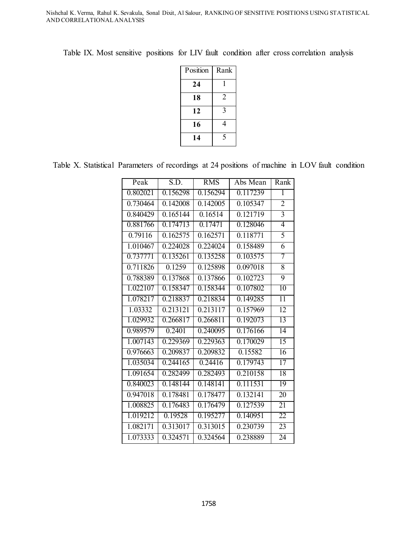| Position | Rank |
|----------|------|
| 24       |      |
| 18       | 2    |
| 12       | 3    |
| 16       | 4    |
| 14       | 5    |

Table IX. Most sensitive positions for LIV fault condition after cross correlation analysis

Table X. Statistical Parameters of recordings at 24 positions of machine in LOV fault condition

| Peak                  | S.D.     | <b>RMS</b> | Abs Mean | Rank            |
|-----------------------|----------|------------|----------|-----------------|
| 0.802021              | 0.156298 | 0.156294   | 0.117239 | 1               |
| 0.730464              | 0.142008 | 0.142005   | 0.105347 | $\overline{2}$  |
| 0.840429              | 0.165144 | 0.16514    | 0.121719 | $\overline{3}$  |
| 0.881766              | 0.174713 | 0.17471    | 0.128046 | 4               |
| 0.79116               | 0.162575 | 0.162571   | 0.118771 | 5               |
| 1.010467              | 0.224028 | 0.224024   | 0.158489 | 6               |
| 0.737771              | 0.135261 | 0.135258   | 0.103575 | 7               |
| 0.711826              | 0.1259   | 0.125898   | 0.097018 | $\overline{8}$  |
| 0.788389              | 0.137868 | 0.137866   | 0.102723 | $\overline{9}$  |
| 1.022107              | 0.158347 | 0.158344   | 0.107802 | 10              |
| 1.078217              | 0.218837 | 0.218834   | 0.149285 | $\overline{11}$ |
| 1.03332               | 0.213121 | 0.213117   | 0.157969 | $\overline{12}$ |
| 1.029932              | 0.266817 | 0.266811   | 0.192073 | 13              |
| 0.989579              | 0.2401   | 0.240095   | 0.176166 | $\overline{14}$ |
| 1.007143              | 0.229369 | 0.229363   | 0.170029 | $\overline{15}$ |
| 0.976663              | 0.209837 | 0.209832   | 0.15582  | 16              |
| 1.035034              | 0.244165 | 0.24416    | 0.179743 | $\overline{17}$ |
| 1.091654              | 0.282499 | 0.282493   | 0.210158 | $\overline{18}$ |
| 0.840023              | 0.148144 | 0.148141   | 0.111531 | 19              |
| $0.94\overline{7018}$ | 0.178481 | 0.178477   | 0.132141 | 20              |
| 1.008825              | 0.176483 | 0.176479   | 0.127539 | 21              |
| 1.019212              | 0.19528  | 0.195277   | 0.140951 | 22              |
| 1.082171              | 0.313017 | 0.313015   | 0.230739 | $\overline{23}$ |
| 1.073333              | 0.324571 | 0.324564   | 0.238889 | $\overline{24}$ |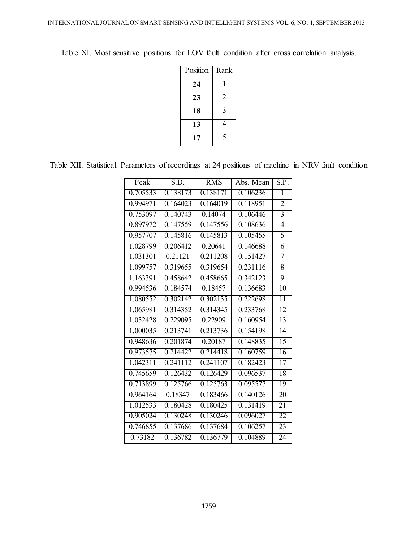| Position | Rank           |
|----------|----------------|
| 24       |                |
| 23       | $\overline{2}$ |
| 18       | 3              |
| 13       | 4              |
| 17       | 5              |

Table XI. Most sensitive positions for LOV fault condition after cross correlation analysis.

Table XII. Statistical Parameters of recordings at 24 positions of machine in NRV fault condition

| Peak     | S.D.     | <b>RMS</b>            | Abs. Mean | S.P.            |
|----------|----------|-----------------------|-----------|-----------------|
| 0.705533 | 0.138173 | 0.138171              | 0.106236  | 1               |
| 0.994971 | 0.164023 | 0.164019              | 0.118951  | $\overline{2}$  |
| 0.753097 | 0.140743 | 0.14074               | 0.106446  | $\overline{3}$  |
| 0.897972 | 0.147559 | 0.147556              | 0.108636  | 4               |
| 0.957707 | 0.145816 | 0.145813              | 0.105455  | 5               |
| 1.028799 | 0.206412 | 0.20641               | 0.146688  | 6               |
| 1.031301 | 0.21121  | 0.211208              | 0.151427  | 7               |
| 1.099757 | 0.319655 | $\overline{0.319654}$ | 0.231116  | 8               |
| 1.163391 | 0.458642 | 0.458665              | 0.342123  | $\overline{9}$  |
| 0.994536 | 0.184574 | 0.18457               | 0.136683  | 10              |
| 1.080552 | 0.302142 | 0.302135              | 0.222698  | $\overline{11}$ |
| 1.065981 | 0.314352 | 0.314345              | 0.233768  | 12              |
| 1.032428 | 0.229095 | 0.22909               | 0.160954  | 13              |
| 1.000035 | 0.213741 | 0.213736              | 0.154198  | $\overline{14}$ |
| 0.948636 | 0.201874 | 0.20187               | 0.148835  | $\overline{15}$ |
| 0.973575 | 0.214422 | 0.214418              | 0.160759  | $\overline{16}$ |
| 1.042311 | 0.241112 | 0.241107              | 0.182423  | 17              |
| 0.745659 | 0.126432 | 0.126429              | 0.096537  | $\overline{18}$ |
| 0.713899 | 0.125766 | 0.125763              | 0.095577  | 19              |
| 0.964164 | 0.18347  | 0.183466              | 0.140126  | 20              |
| 1.012533 | 0.180428 | 0.180425              | 0.131419  | 21              |
| 0.905024 | 0.130248 | 0.130246              | 0.096027  | 22              |
| 0.746855 | 0.137686 | 0.137684              | 0.106257  | 23              |
| 0.73182  | 0.136782 | 0.136779              | 0.104889  | 24              |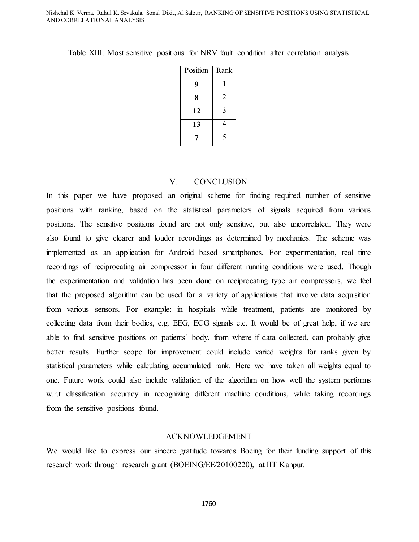| Position | Rank           |
|----------|----------------|
| 9        |                |
| 8        | $\overline{2}$ |
| 12       | 3              |
| 13       | 4              |
|          | 5              |

Table XIII. Most sensitive positions for NRV fault condition after correlation analysis

## V. CONCLUSION

In this paper we have proposed an original scheme for finding required number of sensitive positions with ranking, based on the statistical parameters of signals acquired from various positions. The sensitive positions found are not only sensitive, but also uncorrelated. They were also found to give clearer and louder recordings as determined by mechanics. The scheme was implemented as an application for Android based smartphones. For experimentation, real time recordings of reciprocating air compressor in four different running conditions were used. Though the experimentation and validation has been done on reciprocating type air compressors, we feel that the proposed algorithm can be used for a variety of applications that involve data acquisition from various sensors. For example: in hospitals while treatment, patients are monitored by collecting data from their bodies, e.g. EEG, ECG signals etc. It would be of great help, if we are able to find sensitive positions on patients' body, from where if data collected, can probably give better results. Further scope for improvement could include varied weights for ranks given by statistical parameters while calculating accumulated rank. Here we have taken all weights equal to one. Future work could also include validation of the algorithm on how well the system performs w.r.t classification accuracy in recognizing different machine conditions, while taking recordings from the sensitive positions found.

#### ACKNOWLEDGEMENT

We would like to express our sincere gratitude towards Boeing for their funding support of this research work through research grant (BOEING/EE/20100220), at IIT Kanpur.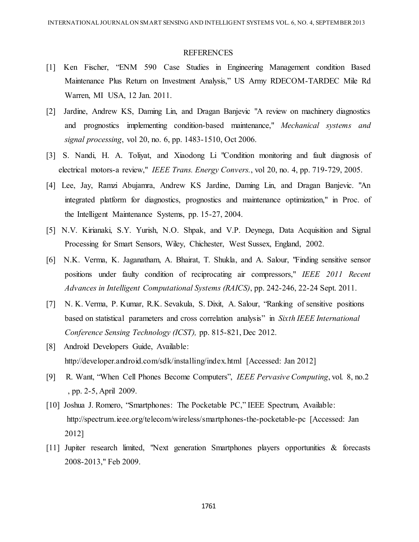#### REFERENCES

- [1] Ken Fischer, "ENM 590 Case Studies in Engineering Management condition Based Maintenance Plus Return on Investment Analysis," US Army RDECOM-TARDEC Mile Rd Warren, MI USA, 12 Jan. 2011.
- [2] Jardine, Andrew KS, Daming Lin, and Dragan Banjevic "A review on machinery diagnostics and prognostics implementing condition-based maintenance," *Mechanical systems and signal processing*, vol 20, no. 6, pp. 1483-1510, Oct 2006.
- [3] S. Nandi, H. A. Toliyat, and Xiaodong Li "Condition monitoring and fault diagnosis of electrical motors-a review," *IEEE Trans. Energy Convers.*, vol 20, no. 4, pp. 719-729, 2005.
- [4] Lee, Jay, Ramzi Abujamra, Andrew KS Jardine, Daming Lin, and Dragan Banjevic. "An integrated platform for diagnostics, prognostics and maintenance optimization," in Proc. of the Intelligent Maintenance Systems, pp. 15-27, 2004.
- [5] N.V. Kirianaki, S.Y. Yurish, N.O. Shpak, and V.P. Deynega, Data Acquisition and Signal Processing for Smart Sensors, Wiley, Chichester, West Sussex, England, 2002.
- [6] N.K. Verma, K. Jaganatham, A. Bhairat, T. Shukla, and A. Salour, "Finding sensitive sensor positions under faulty condition of reciprocating air compressors," *IEEE 2011 Recent Advances in Intelligent Computational Systems (RAICS)*, pp. 242-246, 22-24 Sept. 2011.
- [7] N. K. Verma, P. Kumar, R.K. Sevakula, S. Dixit, A. Salour, "Ranking of sensitive positions based on statistical parameters and cross correlation analysis" in *Sixth IEEE International Conference Sensing Technology (ICST),* pp. 815-821, Dec 2012.
- [8] Android Developers Guide, Available: http://developer.android.com/sdk/installing/index.html [Accessed: Jan 2012]
- [9] R. Want, "When Cell Phones Become Computers", *IEEE Pervasive Computing*, vol. 8, no.2 , pp. 2-5, April 2009.
- [10] Joshua J. Romero, "Smartphones: The Pocketable PC," IEEE Spectrum, Available: <http://spectrum.ieee.org/telecom/wireless/smartphones-the-pocketable-pc> [Accessed: Jan 2012]
- [11] Jupiter research limited, "Next generation Smartphones players opportunities & forecasts 2008-2013," Feb 2009.